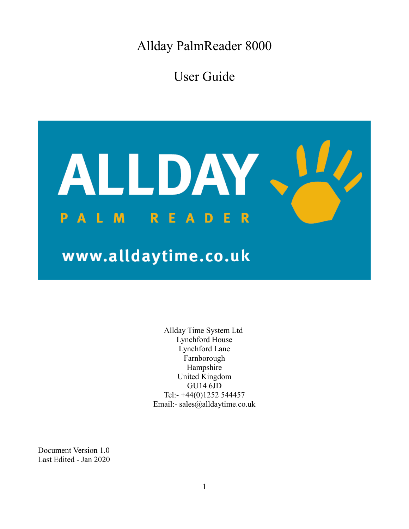Allday PalmReader 8000

User Guide



Allday Time System Ltd Lynchford House Lynchford Lane Farnborough Hampshire United Kingdom GU14 6JD Tel:- +44(0)1252 544457 Email:- sales@alldaytime.co.uk

Document Version 1.0 Last Edited - Jan 2020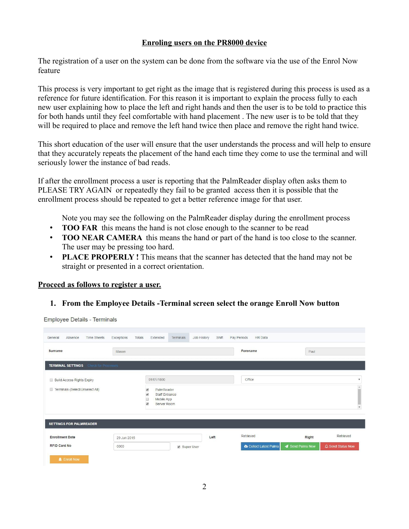## **Enroling users on the PR8000 device**

The registration of a user on the system can be done from the software via the use of the Enrol Now feature

This process is very important to get right as the image that is registered during this process is used as a reference for future identification. For this reason it is important to explain the process fully to each new user explaining how to place the left and right hands and then the user is to be told to practice this for both hands until they feel comfortable with hand placement . The new user is to be told that they will be required to place and remove the left hand twice then place and remove the right hand twice.

This short education of the user will ensure that the user understands the process and will help to ensure that they accurately repeats the placement of the hand each time they come to use the terminal and will seriously lower the instance of bad reads.

If after the enrollment process a user is reporting that the PalmReader display often asks them to PLEASE TRY AGAIN or repeatedly they fail to be granted access then it is possible that the enrollment process should be repeated to get a better reference image for that user.

Note you may see the following on the PalmReader display during the enrollment process

- **TOO FAR** this means the hand is not close enough to the scanner to be read
- **TOO NEAR CAMERA** this means the hand or part of the hand is too close to the scanner. The user may be pressing too hard.
- **PLACE PROPERLY !** This means that the scanner has detected that the hand may not be straight or presented in a correct orientation.

#### **Proceed as follows to register a user.**

**1. From the Employee Details -Terminal screen select the orange Enroll Now button**

**Employee Details - Terminals** 

| Absence<br><b>Time Sheets</b><br>General        | Exceptions<br>Totals | Extended                                                                                                                                               | Terminals  | Shift<br>Job History | Pay Periods | <b>HR</b> Data                    |                |                           |
|-------------------------------------------------|----------------------|--------------------------------------------------------------------------------------------------------------------------------------------------------|------------|----------------------|-------------|-----------------------------------|----------------|---------------------------|
| Surname                                         | Mason                |                                                                                                                                                        |            |                      | Forename    |                                   |                | Paul                      |
| <b>TERMINAL SETTINGS</b><br>Check for Processes |                      |                                                                                                                                                        |            |                      |             |                                   |                |                           |
| <b>Build Access Rights Expiry</b>               |                      | 01/01/1800                                                                                                                                             |            |                      |             | Office                            |                | $\boldsymbol{\mathrm{v}}$ |
| Terminals (Select/Unselect All)                 |                      | PalmReader<br>$\overline{\mathcal{L}}$<br>$\overline{\mathbf{v}}$<br>Staff Entrance<br>$\Box$<br>Mobile App<br>$\overline{\mathcal{L}}$<br>Server Room |            |                      |             |                                   |                | $\mathbf{v}$              |
| SETTINGS FOR PALMREADER                         |                      |                                                                                                                                                        |            |                      |             |                                   |                |                           |
| <b>Enrollment Date</b>                          | 29 Jun 2015          |                                                                                                                                                        |            | Left                 | Retrieved   |                                   | Right          | Retrieved                 |
| <b>RFID Card No</b>                             | 0000                 |                                                                                                                                                        | Super User |                      |             | <b>&amp; Collect Latest Palms</b> | Send Palms Now | A Send Status Now         |
| <b>&amp;</b> Enroll Now                         |                      |                                                                                                                                                        |            |                      |             |                                   |                |                           |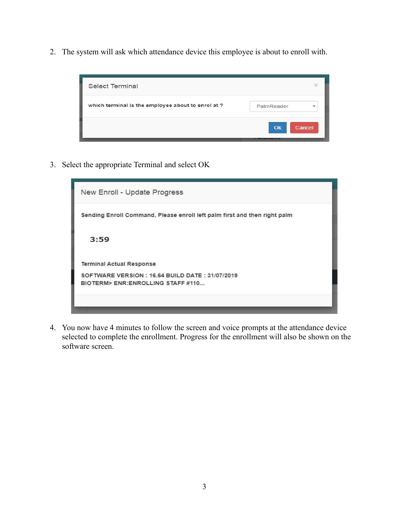2. The system will ask which attendance device this employee is about to enroll with.



3. Select the appropriate Terminal and select OK



4. You now have 4 minutes to follow the screen and voice prompts at the attendance device selected to complete the enrollment. Progress for the enrollment will also be shown on the software screen.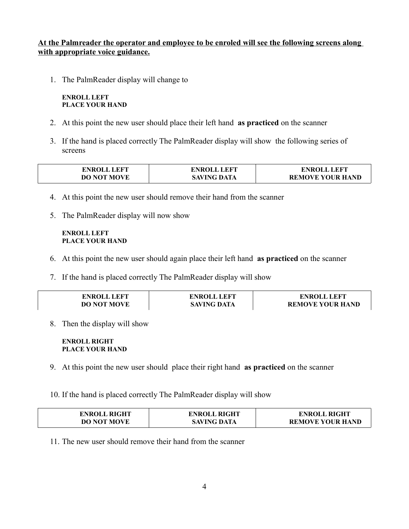### **At the Palmreader the operator and employee to be enroled will see the following screens along with appropriate voice guidance.**

1. The PalmReader display will change to

**ENROLL LEFT PLACE YOUR HAND**

- 2. At this point the new user should place their left hand **as practiced** on the scanner
- 3. If the hand is placed correctly The PalmReader display will show the following series of screens

| <b>ENROLL LEFT</b> | <b>ENROLL LEFT</b> | <b>ENROLL LEFT</b>      |
|--------------------|--------------------|-------------------------|
| <b>DO NOT MOVE</b> | <b>SAVING DATA</b> | <b>REMOVE YOUR HAND</b> |

- 4. At this point the new user should remove their hand from the scanner
- 5. The PalmReader display will now show

#### **ENROLL LEFT PLACE YOUR HAND**

- 6. At this point the new user should again place their left hand **as practiced** on the scanner
- 7. If the hand is placed correctly The PalmReader display will show

| <b>ENROLL LEFT</b> | <b>ENROLL LEFT</b> | <b>ENROLL LEFT</b>      |
|--------------------|--------------------|-------------------------|
| <b>DO NOT MOVE</b> | <b>SAVING DATA</b> | <b>REMOVE YOUR HAND</b> |

8. Then the display will show

#### **ENROLL RIGHT PLACE YOUR HAND**

9. At this point the new user should place their right hand **as practiced** on the scanner

10. If the hand is placed correctly The PalmReader display will show

| <b>ENROLL RIGHT</b> | <b>ENROLL RIGHT</b> | <b>ENROLL RIGHT</b>     |
|---------------------|---------------------|-------------------------|
| <b>DO NOT MOVE</b>  | <b>SAVING DATA</b>  | <b>REMOVE YOUR HAND</b> |

11. The new user should remove their hand from the scanner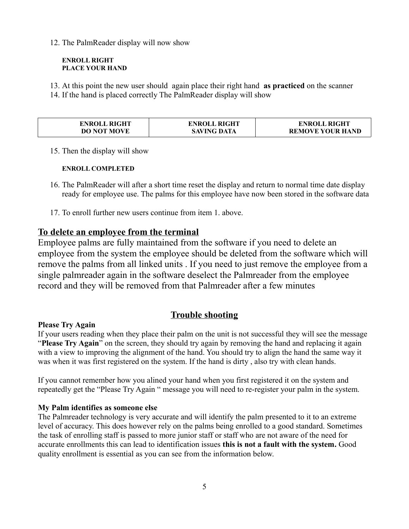12. The PalmReader display will now show

#### **ENROLL RIGHT PLACE YOUR HAND**

- 13. At this point the new user should again place their right hand **as practiced** on the scanner
- 14. If the hand is placed correctly The PalmReader display will show

| <b>ENROLL RIGHT</b> | <b>ENROLL RIGHT</b> | <b>ENROLL RIGHT</b>     |
|---------------------|---------------------|-------------------------|
| <b>DO NOT MOVE</b>  | <b>SAVING DATA</b>  | <b>REMOVE YOUR HAND</b> |

15. Then the display will show

## **ENROLL COMPLETED**

- 16. The PalmReader will after a short time reset the display and return to normal time date display ready for employee use. The palms for this employee have now been stored in the software data
- 17. To enroll further new users continue from item 1. above.

# **To delete an employee from the terminal**

Employee palms are fully maintained from the software if you need to delete an employee from the system the employee should be deleted from the software which will remove the palms from all linked units . If you need to just remove the employee from a single palmreader again in the software deselect the Palmreader from the employee record and they will be removed from that Palmreader after a few minutes

# **Trouble shooting**

# **Please Try Again**

If your users reading when they place their palm on the unit is not successful they will see the message "**Please Try Again**" on the screen, they should try again by removing the hand and replacing it again with a view to improving the alignment of the hand. You should try to align the hand the same way it was when it was first registered on the system. If the hand is dirty , also try with clean hands.

If you cannot remember how you alined your hand when you first registered it on the system and repeatedly get the "Please Try Again " message you will need to re-register your palm in the system.

# **My Palm identifies as someone else**

The Palmreader technology is very accurate and will identify the palm presented to it to an extreme level of accuracy. This does however rely on the palms being enrolled to a good standard. Sometimes the task of enrolling staff is passed to more junior staff or staff who are not aware of the need for accurate enrollments this can lead to identification issues **this is not a fault with the system.** Good quality enrollment is essential as you can see from the information below.